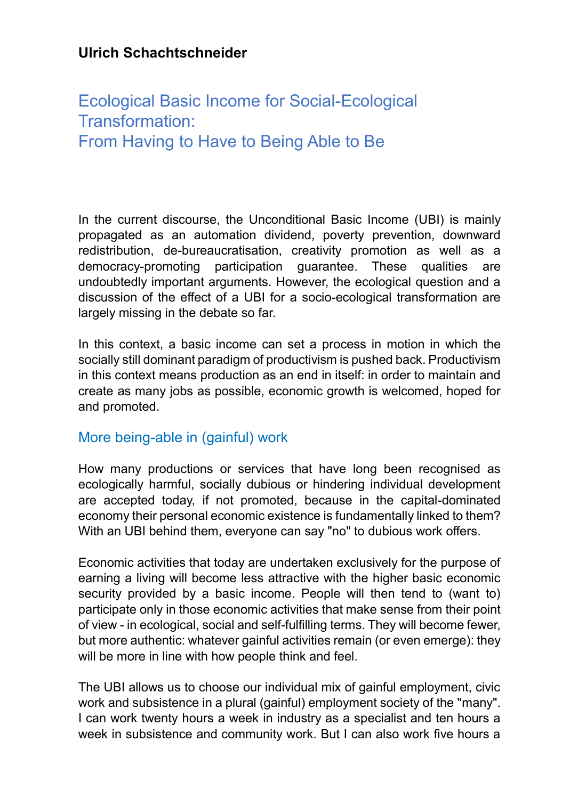## **Ulrich Schachtschneider**

# Ecological Basic Income for Social-Ecological Transformation: From Having to Have to Being Able to Be

In the current discourse, the Unconditional Basic Income (UBI) is mainly propagated as an automation dividend, poverty prevention, downward redistribution, de-bureaucratisation, creativity promotion as well as a democracy-promoting participation guarantee. These qualities are undoubtedly important arguments. However, the ecological question and a discussion of the effect of a UBI for a socio-ecological transformation are largely missing in the debate so far.

In this context, a basic income can set a process in motion in which the socially still dominant paradigm of productivism is pushed back. Productivism in this context means production as an end in itself: in order to maintain and create as many jobs as possible, economic growth is welcomed, hoped for and promoted.

#### More being-able in (gainful) work

How many productions or services that have long been recognised as ecologically harmful, socially dubious or hindering individual development are accepted today, if not promoted, because in the capital-dominated economy their personal economic existence is fundamentally linked to them? With an UBI behind them, everyone can say "no" to dubious work offers.

Economic activities that today are undertaken exclusively for the purpose of earning a living will become less attractive with the higher basic economic security provided by a basic income. People will then tend to (want to) participate only in those economic activities that make sense from their point of view - in ecological, social and self-fulfilling terms. They will become fewer, but more authentic: whatever gainful activities remain (or even emerge): they will be more in line with how people think and feel.

The UBI allows us to choose our individual mix of gainful employment, civic work and subsistence in a plural (gainful) employment society of the "many". I can work twenty hours a week in industry as a specialist and ten hours a week in subsistence and community work. But I can also work five hours a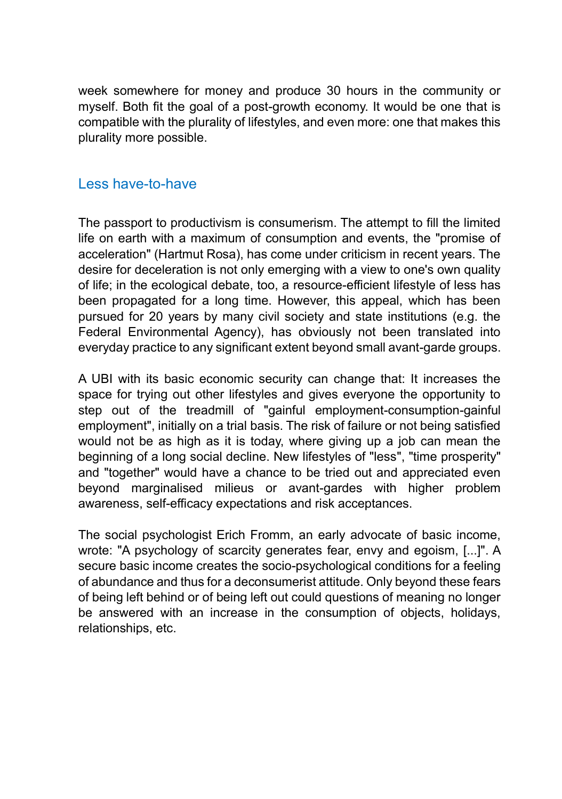week somewhere for money and produce 30 hours in the community or myself. Both fit the goal of a post-growth economy. It would be one that is compatible with the plurality of lifestyles, and even more: one that makes this plurality more possible.

#### Less have-to-have

The passport to productivism is consumerism. The attempt to fill the limited life on earth with a maximum of consumption and events, the "promise of acceleration" (Hartmut Rosa), has come under criticism in recent years. The desire for deceleration is not only emerging with a view to one's own quality of life; in the ecological debate, too, a resource-efficient lifestyle of less has been propagated for a long time. However, this appeal, which has been pursued for 20 years by many civil society and state institutions (e.g. the Federal Environmental Agency), has obviously not been translated into everyday practice to any significant extent beyond small avant-garde groups.

A UBI with its basic economic security can change that: It increases the space for trying out other lifestyles and gives everyone the opportunity to step out of the treadmill of "gainful employment-consumption-gainful employment", initially on a trial basis. The risk of failure or not being satisfied would not be as high as it is today, where giving up a job can mean the beginning of a long social decline. New lifestyles of "less", "time prosperity" and "together" would have a chance to be tried out and appreciated even beyond marginalised milieus or avant-gardes with higher problem awareness, self-efficacy expectations and risk acceptances.

The social psychologist Erich Fromm, an early advocate of basic income, wrote: "A psychology of scarcity generates fear, envy and egoism, [...]". A secure basic income creates the socio-psychological conditions for a feeling of abundance and thus for a deconsumerist attitude. Only beyond these fears of being left behind or of being left out could questions of meaning no longer be answered with an increase in the consumption of objects, holidays, relationships, etc.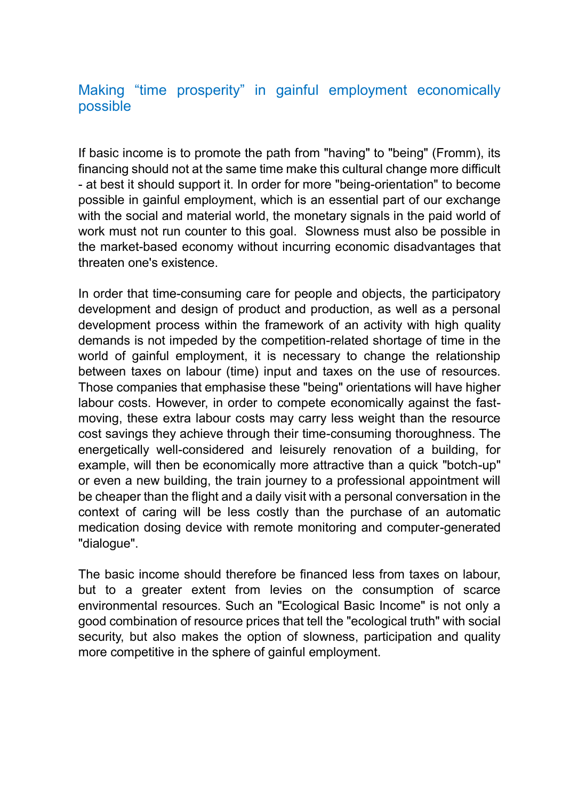### Making "time prosperity" in gainful employment economically possible

If basic income is to promote the path from "having" to "being" (Fromm), its financing should not at the same time make this cultural change more difficult - at best it should support it. In order for more "being-orientation" to become possible in gainful employment, which is an essential part of our exchange with the social and material world, the monetary signals in the paid world of work must not run counter to this goal. Slowness must also be possible in the market-based economy without incurring economic disadvantages that threaten one's existence.

In order that time-consuming care for people and objects, the participatory development and design of product and production, as well as a personal development process within the framework of an activity with high quality demands is not impeded by the competition-related shortage of time in the world of gainful employment, it is necessary to change the relationship between taxes on labour (time) input and taxes on the use of resources. Those companies that emphasise these "being" orientations will have higher labour costs. However, in order to compete economically against the fastmoving, these extra labour costs may carry less weight than the resource cost savings they achieve through their time-consuming thoroughness. The energetically well-considered and leisurely renovation of a building, for example, will then be economically more attractive than a quick "botch-up" or even a new building, the train journey to a professional appointment will be cheaper than the flight and a daily visit with a personal conversation in the context of caring will be less costly than the purchase of an automatic medication dosing device with remote monitoring and computer-generated "dialogue".

The basic income should therefore be financed less from taxes on labour, but to a greater extent from levies on the consumption of scarce environmental resources. Such an "Ecological Basic Income" is not only a good combination of resource prices that tell the "ecological truth" with social security, but also makes the option of slowness, participation and quality more competitive in the sphere of gainful employment.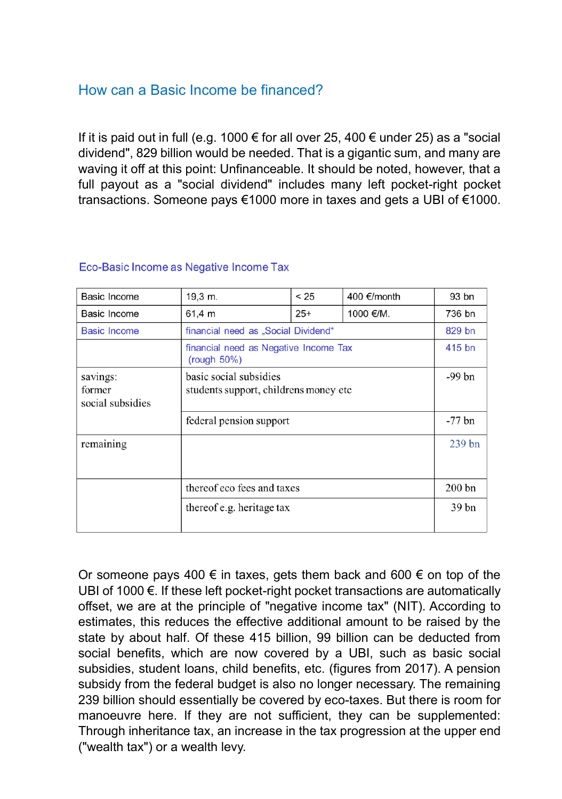### How can a Basic Income be financed?

If it is paid out in full (e.g. 1000  $\epsilon$  for all over 25, 400  $\epsilon$  under 25) as a "social dividend", 829 billion would be needed. That is a gigantic sum, and many are waving it off at this point: Unfinanceable. It should be noted, however, that a full payout as a "social dividend" includes many left pocket-right pocket transactions. Someone pays €1000 more in taxes and gets a UBI of €1000.

| Basic Income                           | 19,3 m.                                                          | < 25  | 400 €/month | 93 bn            |
|----------------------------------------|------------------------------------------------------------------|-------|-------------|------------------|
| Basic Income                           | 61.4 m                                                           | $25+$ | 1000 €/M.   | 736 bn           |
| <b>Basic Income</b>                    | financial need as "Social Dividend"                              |       |             | 829 bn           |
|                                        | financial need as Negative Income Tax<br>(rouqh 50%)             |       |             | 415 bn           |
| savings:<br>former<br>social subsidies | basic social subsidies<br>students support, childrens money etc. |       |             | -99 bn           |
| federal pension support                |                                                                  |       |             | $-77$ bn         |
| remaining                              |                                                                  |       |             | $239$ bn         |
|                                        | thereof eco fees and taxes                                       |       |             | $200$ bn         |
|                                        | thereof e.g. heritage tax                                        |       |             | 39 <sub>bn</sub> |

#### Eco-Basic Income as Negative Income Tax

Or someone pays 400  $\epsilon$  in taxes, gets them back and 600  $\epsilon$  on top of the UBI of 1000 €. If these left pocket-right pocket transactions are automatically offset, we are at the principle of "negative income tax" (NIT). According to estimates, this reduces the effective additional amount to be raised by the state by about half. Of these 415 billion, 99 billion can be deducted from social benefits, which are now covered by a UBI, such as basic social subsidies, student loans, child benefits, etc. (figures from 2017). A pension subsidy from the federal budget is also no longer necessary. The remaining 239 billion should essentially be covered by eco-taxes. But there is room for manoeuvre here. If they are not sufficient, they can be supplemented: Through inheritance tax, an increase in the tax progression at the upper end ("wealth tax") or a wealth levy.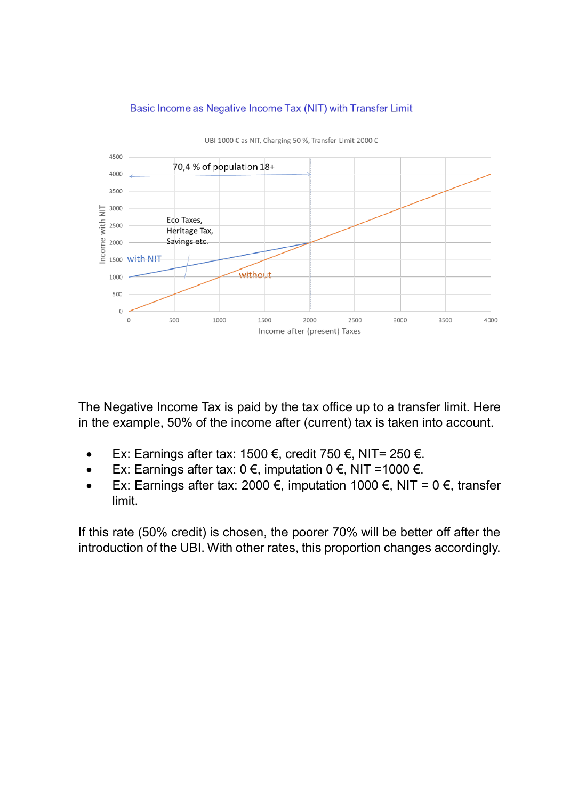

#### Basic Income as Negative Income Tax (NIT) with Transfer Limit

The Negative Income Tax is paid by the tax office up to a transfer limit. Here in the example, 50% of the income after (current) tax is taken into account.

- Ex: Earnings after tax: 1500 €, credit 750 €, NIT= 250 €.
- Ex: Earnings after tax: 0 €, imputation 0 €, NIT =1000 €.
- Ex: Earnings after tax: 2000 €, imputation 1000 €, NIT = 0 €, transfer limit.

If this rate (50% credit) is chosen, the poorer 70% will be better off after the introduction of the UBI. With other rates, this proportion changes accordingly.